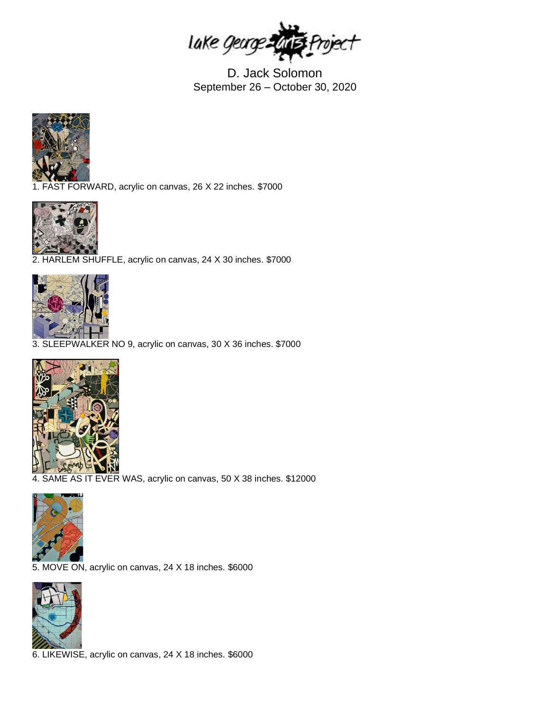

D. Jack Solomon September 26 – October 30, 2020



ST FORWARD, acrylic on canvas, 26 X 22 inches. \$7000



2. HARLEM SHUFFLE, acrylic on canvas, 24 X 30 inches. \$7000



3. SLEEPWALKER NO 9, acrylic on canvas, 30 X 36 inches. \$7000



4. SAME AS IT EVER WAS, acrylic on canvas, 50 X 38 inches. \$12000



5. MOVE ON, acrylic on canvas, 24 X 18 inches. \$6000



6. LIKEWISE, acrylic on canvas, 24 X 18 inches. \$6000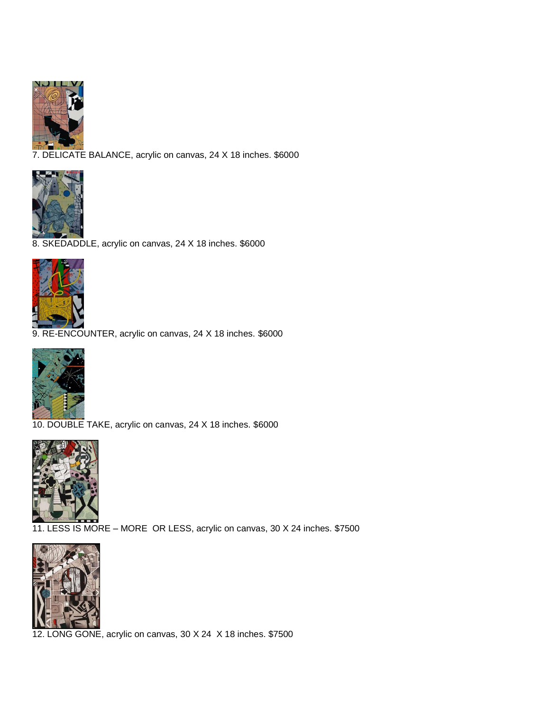

7. DELICATE BALANCE, acrylic on canvas, 24 X 18 inches. \$6000



8. SKEDADDLE, acrylic on canvas, 24 X 18 inches. \$6000



9. RE-ENCOUNTER, acrylic on canvas, 24 X 18 inches. \$6000



10. DOUBLE TAKE, acrylic on canvas, 24 X 18 inches. \$6000



11. LESS IS MORE – MORE OR LESS, acrylic on canvas, 30 X 24 inches. \$7500



12. LONG GONE, acrylic on canvas, 30 X 24 X 18 inches. \$7500